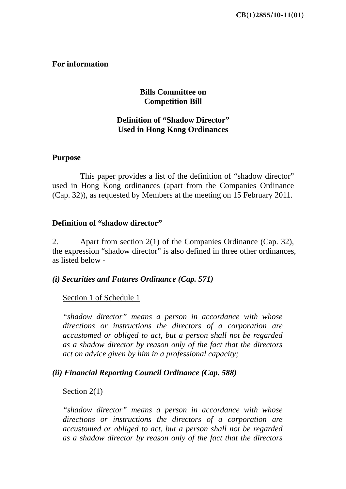# **For information**

# **Bills Committee on Competition Bill**

# **Definition of "Shadow Director" Used in Hong Kong Ordinances**

### **Purpose**

 This paper provides a list of the definition of "shadow director" used in Hong Kong ordinances (apart from the Companies Ordinance (Cap. 32)), as requested by Members at the meeting on 15 February 2011.

### **Definition of "shadow director"**

2. Apart from section 2(1) of the Companies Ordinance (Cap. 32), the expression "shadow director" is also defined in three other ordinances, as listed below -

### *(i) Securities and Futures Ordinance (Cap. 571)*

### Section 1 of Schedule 1

*"shadow director" means a person in accordance with whose directions or instructions the directors of a corporation are accustomed or obliged to act, but a person shall not be regarded as a shadow director by reason only of the fact that the directors act on advice given by him in a professional capacity;* 

### *(ii) Financial Reporting Council Ordinance (Cap. 588)*

#### Section 2(1)

*"shadow director" means a person in accordance with whose directions or instructions the directors of a corporation are accustomed or obliged to act, but a person shall not be regarded as a shadow director by reason only of the fact that the directors*